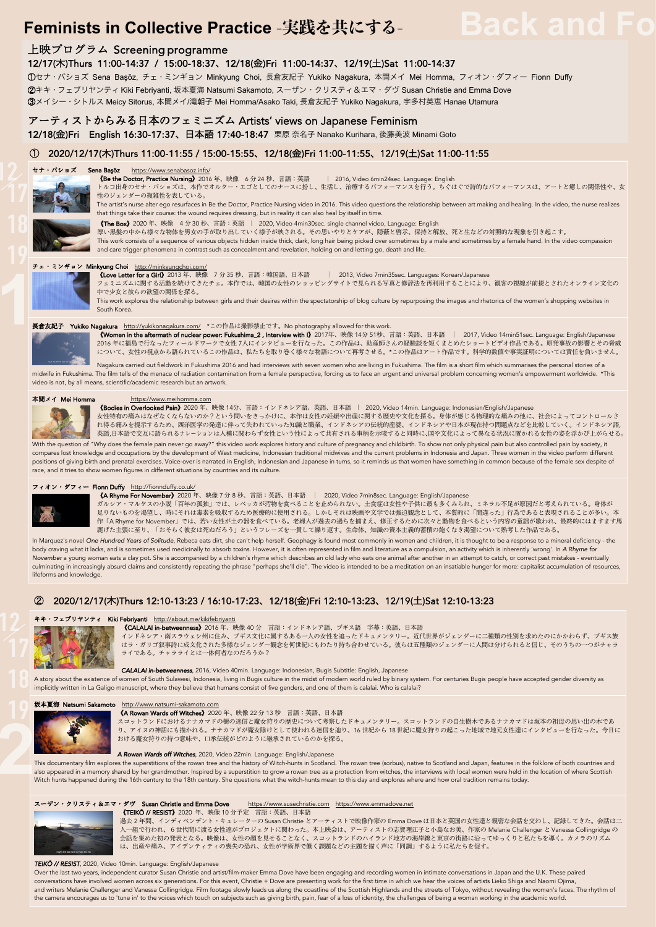# **Feminists in Collective Practice -実践を共にする-**Back and Fo

# 上映プログラム Screening programme

12/17(木)Thurs 11:00-14:37 / 15:00-18:37、12/18(金)Fri 11:00-14:37、12/19(土)Sat 11:00-14:37

①セナ・バショズ Sena Başöz, チェ・ミンギョン Minkyung Choi, ⻑倉友紀⼦ Yukiko Nagakura, 本間メイ Mei Homma, フィオン・ダフィー Fionn Duffy

②キキ・フェブリヤンティ Kiki Febriyanti, 坂本夏海 Natsumi Sakamoto, スーザン・クリスティ&エマ・ダヴ Susan Christie and Emma Dove

**③メイシー・シトルス Meicy Sitorus**, 本間メイ/滝朝子 Mei Homma/Asako Taki, 長倉友紀子 Yukiko Nagakura, 宇多村英恵 Hanae Utamura

# アーティストからみる⽇本のフェミニズム Artists' views on Japanese Feminism

12/18(金)Fri English 16:30-17:37、日本語 17:40-18:47 栗原 奈名子 Nanako Kurihara, 後藤美波 Minami Goto

# ① 2020/12/17(⽊)Thurs 11:00-11:55 / 15:00-15:55、12/18(⾦)Fri 11:00-11:55、12/19(⼟)Sat 11:00-11:55

# セナ・バショズ Sena Başöz https://www.senabasoz.info/



# **《Be the Doctor, Practice Nursing》**2016 年、映像 6分24 秒、言語:英語 | 2016, Video 6min24sec. Language: English

トルコ出身のセナ・バショズは、本作でオルター・エゴとしてのナースに扮し、生活し、治療するパフォーマンスを行う。ちぐはぐで詩的なパフォーマンスは、アートと癒しの関係性や、女<br>性のジェンダーの複雑性を表している。

The artist's nurse alter ego resurfaces in Be the Doctor, Practice Nursing video in 2016. This video questions the relationship between art making and healing. In the video, the nurse realizes that things take their course: the wound requires dressing, but in reality it can also heal by itself in time.



<mark>《The Box》</mark>2020 年、映像 4 分 30 秒、言語:英語 | 2020, Video 4min30sec. single channel video, Language: English<br>厚い黒髪の中から様々な物体を男女の手が取り出していく様子が映される。その思いやりとケアが、隠蔽と啓示、保持と解放、死と生などの対照的な現象を引き起こす。

This work consists of a sequence of various objects hidden inside thick, dark, long hair being picked over sometimes by a male and sometimes by a female hand. In the video compassion and care trigger phenomena in contrast such as concealment and revelation, holding on and letting go, death and life.

# チェ・ミンギョン Minkyung Choi http://minkyungchoi.com/

《Love Letter for a Girl》2013 年、映像 7 分 35 秒、言語:韓国語、日本語 | 2013, Video 7min35sec. Languages: Korean/Japanese フェミニズムに関する活動を続けてきたチェ。本作では、韓国の女性のショッピングサイトで見られる写真と修辞法を再利用することにより、観客の視線が前提とされたオンライン文化の

中で少⼥と彼らの欲望の関係を探る。

This work explores the relationship between girls and their desires within the spectatorship of blog culture by repurposing the images and rhetorics of the women's shopping websites in South Korea.

# 長倉友紀子 Yukiko Nagakura http://yukikonagakura.com/ \*この作品は撮影禁止です。No photography allowed for this work. **1**

**《Women in the aftermath of nuclear power: Fukushima\_2 , Interview with I》**2017年、映像 14分 51秒、言語:英語、日本語 | 2017, Video 14min51sec. Language: English/Japanese<br>2016 年に福島で行なったフィールドワークで女性 7人にインタビューを行なった。この作品は、助産師さんの経験談を短くまとめたショ について、⼥性の視点から語られているこの作品は、私たちを取り巻く様々な物語について再考させる。\*この作品はアート作品です。科学的数値や事実証明については責任を負いません。

Nagakura carried out fieldwork in Fukushima 2016 and had interviews with seven women who are living in Fukushima. The film is a short film which summarises the personal stories of a midwife in Fukushima. The film tells of the menace of radiation contamination from a female perspective, forcing us to face an urgent and universal problem concerning women's empowerment worldwide. \*This video is not, by all means, scientific/academic research but an artwork.



本間メイ Mei Homma https://www.meihomma.com<br>Mannese in Overlooked Pain》2020 年、映像 14分、言語:インドネシア語、英語、日本語 | 2020, Video 14min. Language: Indonesian/English/Japanese 女性特有の痛みはなぜなくならないのか?という問いをきっかけに、本作は女性の妊娠や出産に関する歴史や文化を探る。身体が感じる物理的な痛みの他に、社会によってコントロールさ<br>れ得る痛みを提示するため、西洋医学の発達に伴って失われていった知識と職業、インドネシアの伝統的産婆、インドネシアや日本が現在持つ問題点などを比較していく。インドネシア語,<br>英語,日本語で交互に語られるナレーションは人種に関わらず女性という性によって共有される事柄を示唆す

With the question of "Why does the female pain never go away?" this video work explores history and culture of pregnancy and childbirth. To show not only physical pain but also controlled pain by society, it compares lost knowledge and occupations by the development of West medicine, Indonesian traditional midwives and the current problems in Indonesia and Japan. Three women in the video perform different positions of giving birth and prenatal exercises. Voice-over is narrated in English, Indonesian and Japanese in turns, so it reminds us that women have something in common because of the female sex despite of race, and it tries to show women figures in different situations by countries and its culture.

### フィオン・ダフィー Fionn Duffy http://fionnduffy.co.



《A Rhyme For November》2020 年、映像 7 分 8 秒、⾔語:英語、⽇本語 | 2020, Video 7min8sec. Language: English/Japanese

ガルシア・マルケスの小説「百年の孤独」では、レベッカが汚物を食べることを止められない。土食症は女性や子供に最も多くみられ、ミネラル不足が原因だと考えられている。身体が<br>足りないものを渇望し、時にそれは毒素を吸収するため医療的に使用される。しかしそれは映画や文学では強迫観念として、本質的に「間違った」行為であると表現されることが多い。本 作「A Rhyme for November」では、若い女性が土の器を食べている。老婦人が過去の過ちを捕まえ、修正するために次々と動物を食べるという内容の童謡が歌われ、最終的にはますます馬 鹿げた主張に至り、「おそらく彼女は死ぬだろう」というフレーズを一貫して繰り返す。生命体、知識の資本主義的蓄積の飽くなき渇望について熟考した作品である。

In Marquez's novel *One Hundred Years of Solitude*, Rebeca eats dirt, she can't help herself. Geophagy is found most commonly in women and children, it is thought to be a response to a mineral deficiency - the body craving what it lacks, and is sometimes used medicinally to absorb toxins. However, it is often represented in film and literature as a compulsion, an activity which is inherently 'wrong'. In *A Rhyme for* November a young woman eats a clay pot. She is accompanied by a children's rhyme which describes an old lady who eats one animal after another in an attempt to catch, or correct past mistakes - eventually<br>culminating in in lifeforms and knowledge.

# ② 2020/12/17(⽊)Thurs 12:10-13:23 / 16:10-17:23、12/18(⾦)Fri 12:10-13:23、12/19(⼟)Sat 12:10-13:23

# キキ・フェプリヤンティ Kiki Febriyanti http://about.me/kikifebriyanti



**{CALALAI in-betweenness}** 2016 年、映像 40 分 富語:インドネシア語、ブギス語 字幕:英語、日本語

・南スラウェシ州に住み、ブギス文化に属するある一人の女性を追ったドキュメンタリー。近代世界がジェンダーに二種類の性別を求めたのにかかわらず、ブギス族 はラ・ガリゴ叙事詩に成文化された多様なジェンダー観念を何世紀にもわたり持ち合わせている。彼らは五種類のジェンダーに人間は分けられると信じ、そのうちの一つがチャラ<br>ライである。チャラライとは一体何者なのだろうか?

*CALALAI in-betweenness*, 2016, Video 40min. Language: Indonesian, Bugis Subtitle: English, Japanese

A story about the existence of women of South Sulawesi, Indonesia, living in Bugis culture in the midst of modern world ruled by binary system. For centuries Bugis people have accepted gender diversity as implicitly written in La Galigo manuscript, where they believe that humans consist of five genders, and one of them is calalai. Who is calalai?

(A Rowan Wards off Witches) 2020 年、映像 22 分 13 秒 言語:英語、日本語

坂本夏海 Natsumi Sakamoto http://www.natsumi-sakamoto.com<br>
A Rowan Wards off Witches) 2020<br>
スコットランドにおけるナナカマド<br>
リ、アイヌの神話にも描かれる。ナ<br>おける魔女狩りの持つ意味や、口承 スコットランドにおけるナナカマドの樹の迷信と魔女狩りの歴史について考察したドキュメンタリー。スコットランドの自生樹木であるナナカマドは坂本の祖母の思い出の木であ<br>り、アイヌの神話にも描かれる。ナナカマドが魔女除けとして使われる迷信を辿り、16 世紀から 18 世紀に魔女狩りの起こった地域で地元女性達にインタビューを行なった。今日に おける魔女狩りの持つ意味や、口承伝統がどのように継承されているのかを探る。

# *A Rowan Wards off Witches*, 2020, Video 22min. Language: English/Japanese

This documentary film explores the superstitions of the rowan tree and the history of Witch-hunts in Scotland. The rowan tree (sorbus), native to Scotland and Japan, features in the folklore of both countries and also appeared in a memory shared by her grandmother. Inspired by a superstition to grow a rowan tree as a protection from witches, the interviews with local women were held in the location of where Scottish Witch hunts happened during the 16th century to the 18th century. She questions what the witch-hunts mean to this day and explores where and how oral tradition remains today.

### スーザン・クリスティ&エマ・ダヴ Susan Christie and Emma Dove https://www.susechristie.com https://www.emmadove.net (TEIKO // RESIST) 2020 年、映像 10 分予定 言語:英語、日本語



**2**

過去 2 年間、インディペンデント・キュレーターの Susan Christie とアーティストで映像作家の Emma Dove は日本と英国の女性達と親密な会話を交わし、記録してきた。会話は二 人一組で行われ、6世代間に渡る女性達がプロジェクトに関わった。本上映会は、アーティストの志賀理江子と小島なお美、作家の Melanie Challenger と Vanessa Collingridge の<br>会話を集めた初の発表となる。映像は、女性の顔を見せることなく、スコットランドのハイランド地方の海岸線と東京の街路に沿ってゆっくりと私たちを導く。カメラのリズム は、出産や痛み、アイデンティティの喪失の恐れ、女性が学術界で働く課題などの主題を描く声に「同調」するように私たちを促す。

#### *TEIKŌ // RESIST*, 2020, Video 10min. Language: English/Japanese

Over the last two years, independent curator Susan Christie and artist/film-maker Emma Dove have been engaging and recording women in intimate conversations in Japan and the U.K. These paired<br>conversations have involved wo and writers Melanie Challenger and Vanessa Collingridge. Film footage slowly leads us along the coastline of the Scottish Highlands and the streets of Tokyo, without revealing the women's faces. The rhythm of the camera encourages us to 'tune in' to the voices which touch on subjects such as giving birth, pain, fear of a loss of identity, the challenges of being a woman working in the academic world.